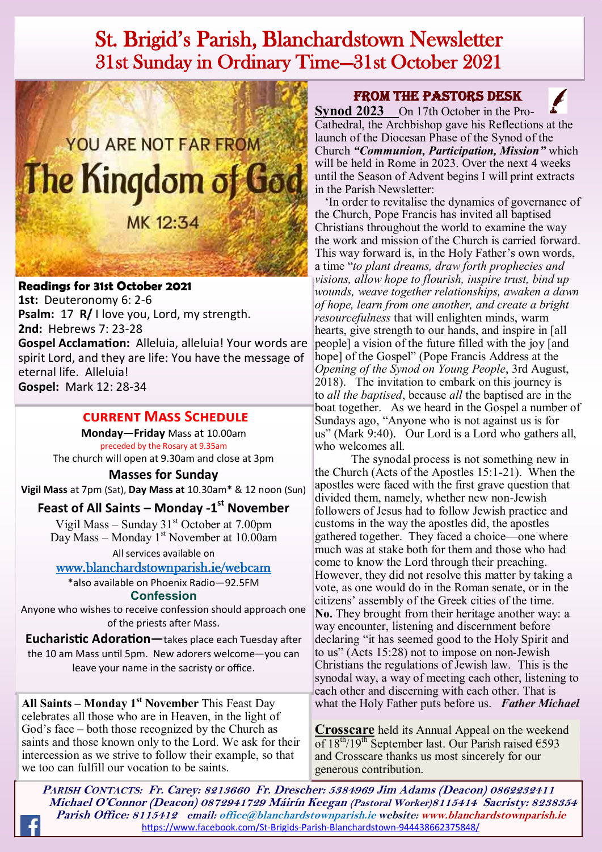## St. Brigid's Parish, Blanchardstown Newsletter 31st Sunday in Ordinary Time—31st October 2021



#### **Readings for 31st October 2021**

**1st:** Deuteronomy 6: 2-6 **Psalm:** 17 **R/** I love you, Lord, my strength. **2nd:** Hebrews 7: 23-28 **Gospel Acclamation:** Alleluia, alleluia! Your words are spirit Lord, and they are life: You have the message of eternal life. Alleluia! **Gospel:** Mark 12: 28-34

#### **current Mass Schedule**

**Monday—Friday** Mass at 10.00am preceded by the Rosary at 9.35am The church will open at 9.30am and close at 3pm

**Masses for Sunday**

**Vigil Mass** at 7pm (Sat), **Day Mass at** 10.30am\* & 12 noon (Sun)

#### **Feast of All Saints – Monday -1 st November**

Vigil Mass – Sunday  $31<sup>st</sup>$  October at 7.00pm Day Mass – Monday  $1<sup>st</sup>$  November at 10.00am

All services available on

[www.blanchardstownparish.ie/webcam](http://www.blanchardstownparish.ie/webcam) \*also available on Phoenix Radio—92.5FM

**Confession**

Anyone who wishes to receive confession should approach one of the priests after Mass.

**Eucharistic Adoration—**takes place each Tuesday after the 10 am Mass until 5pm. New adorers welcome—you can leave your name in the sacristy or office.

**All Saints – Monday 1<sup>st</sup> November** This Feast Day what the Holy Father puts before us. *Father Michael* celebrates all those who are in Heaven, in the light of God's face – both those recognized by the Church as saints and those known only to the Lord. We ask for their intercession as we strive to follow their example, so that we too can fulfill our vocation to be saints.

#### From the Pastors Desk

**Synod 2023** On 17th October in the Pro-Cathedral, the Archbishop gave his Reflections at the launch of the Diocesan Phase of the Synod of the Church *"Communion, Participation, Mission"* which will be held in Rome in 2023. Over the next 4 weeks until the Season of Advent begins I will print extracts in the Parish Newsletter:

 'In order to revitalise the dynamics of governance of the Church, Pope Francis has invited all baptised Christians throughout the world to examine the way the work and mission of the Church is carried forward. This way forward is, in the Holy Father's own words, a time "*to plant dreams, draw forth prophecies and visions, allow hope to flourish, inspire trust, bind up wounds, weave together relationships, awaken a dawn of hope, learn from one another, and create a bright resourcefulness* that will enlighten minds, warm hearts, give strength to our hands, and inspire in [all people] a vision of the future filled with the joy [and hope] of the Gospel" (Pope Francis Address at the *Opening of the Synod on Young People*, 3rd August, 2018). The invitation to embark on this journey is to *all the baptised*, because *all* the baptised are in the boat together. As we heard in the Gospel a number of Sundays ago, "Anyone who is not against us is for us" (Mark 9:40). Our Lord is a Lord who gathers all, who welcomes all.

The synodal process is not something new in the Church (Acts of the Apostles 15:1-21). When the apostles were faced with the first grave question that divided them, namely, whether new non-Jewish followers of Jesus had to follow Jewish practice and customs in the way the apostles did, the apostles gathered together. They faced a choice—one where much was at stake both for them and those who had come to know the Lord through their preaching. However, they did not resolve this matter by taking a vote, as one would do in the Roman senate, or in the citizens' assembly of the Greek cities of the time. **No.** They brought from their heritage another way: a way encounter, listening and discernment before declaring "it has seemed good to the Holy Spirit and to us" (Acts 15:28) not to impose on non-Jewish Christians the regulations of Jewish law. This is the synodal way, a way of meeting each other, listening to each other and discerning with each other. That is

**Crosscare** held its Annual Appeal on the weekend of  $18^{th}/19^{th}$  September last. Our Parish raised  $\epsilon$ 593 and Crosscare thanks us most sincerely for our generous contribution.

**PARISH CONTACTS: Fr. Carey: 8213660 Fr. Drescher: 5384969 Jim Adams (Deacon) 0862232411 Michael O'Connor (Deacon) 0872941729 Máirín Keegan (Pastoral Worker)8115414 Sacristy: 8238354 Parish Office: 8115412 email: office@blanchardstownparish.ie website: www.blanchardstownparish.ie**  [https://www.facebook.com/St](https://www.facebook.com/St-Brigids-Parish-Blanchardstown-944438662375848/)-Brigids-Parish-Blanchardstown-944438662375848/